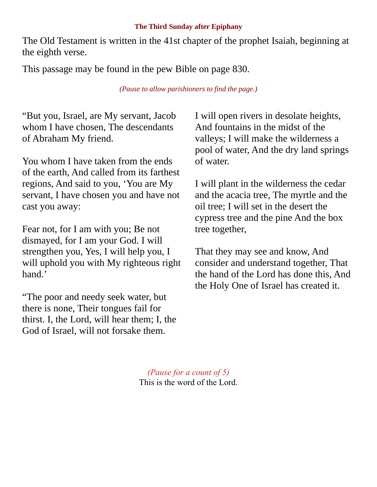## **The Third Sunday after Epiphany**

The Old Testament is written in the 41st chapter of the prophet Isaiah, beginning at the eighth verse.

This passage may be found in the pew Bible on page 830.

*(Pause to allow parishioners to find the page.)*

"But you, Israel, are My servant, Jacob whom I have chosen, The descendants of Abraham My friend.

You whom I have taken from the ends of the earth, And called from its farthest regions, And said to you, 'You are My servant, I have chosen you and have not cast you away:

Fear not, for I am with you; Be not dismayed, for I am your God. I will strengthen you, Yes, I will help you, I will uphold you with My righteous right hand.'

"The poor and needy seek water, but there is none, Their tongues fail for thirst. I, the Lord, will hear them; I, the God of Israel, will not forsake them.

I will open rivers in desolate heights, And fountains in the midst of the valleys; I will make the wilderness a pool of water, And the dry land springs of water.

I will plant in the wilderness the cedar and the acacia tree, The myrtle and the oil tree; I will set in the desert the cypress tree and the pine And the box tree together,

That they may see and know, And consider and understand together, That the hand of the Lord has done this, And the Holy One of Israel has created it.

*(Pause for a count of 5)* This is the word of the Lord.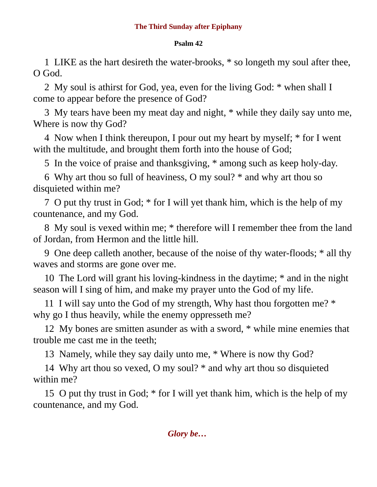## **Psalm 42**

1 LIKE as the hart desireth the water-brooks, \* so longeth my soul after thee, O God.

2 My soul is athirst for God, yea, even for the living God: \* when shall I come to appear before the presence of God?

3 My tears have been my meat day and night, \* while they daily say unto me, Where is now thy God?

4 Now when I think thereupon, I pour out my heart by myself; \* for I went with the multitude, and brought them forth into the house of God;

5 In the voice of praise and thanksgiving, \* among such as keep holy-day.

6 Why art thou so full of heaviness, O my soul? \* and why art thou so disquieted within me?

7 O put thy trust in God; \* for I will yet thank him, which is the help of my countenance, and my God.

8 My soul is vexed within me; \* therefore will I remember thee from the land of Jordan, from Hermon and the little hill.

9 One deep calleth another, because of the noise of thy water-floods; \* all thy waves and storms are gone over me.

10 The Lord will grant his loving-kindness in the daytime; \* and in the night season will I sing of him, and make my prayer unto the God of my life.

11 I will say unto the God of my strength, Why hast thou forgotten me? \* why go I thus heavily, while the enemy oppresseth me?

12 My bones are smitten asunder as with a sword, \* while mine enemies that trouble me cast me in the teeth;

13 Namely, while they say daily unto me, \* Where is now thy God?

14 Why art thou so vexed, O my soul? \* and why art thou so disquieted within me?

15 O put thy trust in God; \* for I will yet thank him, which is the help of my countenance, and my God.

*Glory be…*